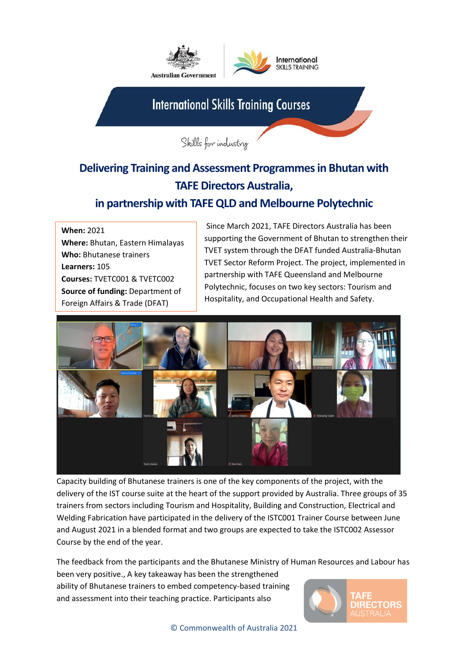

## **Delivering Training and Assessment Programmes in Bhutan with TAFE Directors Australia,**

## **in partnership with TAFE QLD and Melbourne Polytechnic**

**When:** 2021 **Where:** Bhutan, Eastern Himalayas **Who:** Bhutanese trainers **Learners:** 105 **Courses:** TVETC001 & TVETC002 **Source of funding:** Department of Foreign Affairs & Trade (DFAT)

Since March 2021, TAFE Directors Australia has been supporting the Government of Bhutan to strengthen their TVET system through the DFAT funded Australia-Bhutan TVET Sector Reform Project. The project, implemented in partnership with TAFE Queensland and Melbourne Polytechnic, focuses on two key sectors: Tourism and Hospitality, and Occupational Health and Safety.



Capacity building of Bhutanese trainers is one of the key components of the project, with the delivery of the IST course suite at the heart of the support provided by Australia. Three groups of 35 trainers from sectors including Tourism and Hospitality, Building and Construction, Electrical and Welding Fabrication have participated in the delivery of the ISTC001 Trainer Course between June and August 2021 in a blended format and two groups are expected to take the ISTC002 Assessor Course by the end of the year.

The feedback from the participants and the Bhutanese Ministry of Human Resources and Labour has been very positive., A key takeaway has been the strengthened ability of Bhutanese trainers to embed competency-based training and assessment into their teaching practice. Participants also